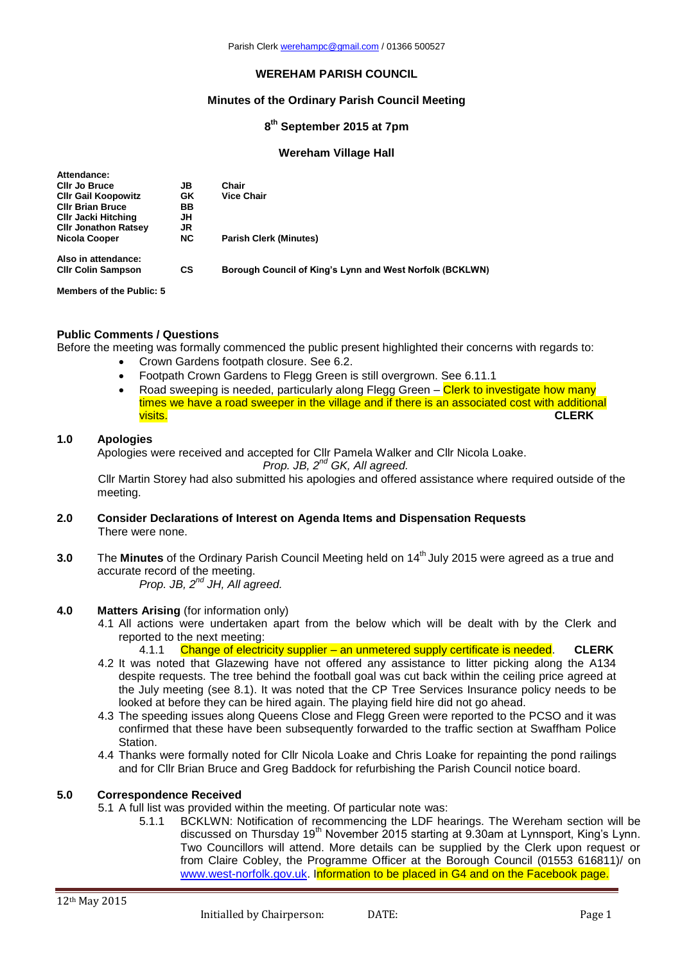### **WEREHAM PARISH COUNCIL**

### **Minutes of the Ordinary Parish Council Meeting**

## **8 th September 2015 at 7pm**

#### **Wereham Village Hall**

| Attendance:                     |           |                                                          |
|---------------------------------|-----------|----------------------------------------------------------|
| <b>CIIr Jo Bruce</b>            | JB        | Chair                                                    |
| <b>CIIr Gail Koopowitz</b>      | GK        | <b>Vice Chair</b>                                        |
| <b>CIIr Brian Bruce</b>         | ВB        |                                                          |
| <b>CIIr Jacki Hitching</b>      | JH        |                                                          |
| <b>CIIr Jonathon Ratsey</b>     | JR        |                                                          |
| Nicola Cooper                   | <b>NC</b> | <b>Parish Clerk (Minutes)</b>                            |
| Also in attendance:             |           |                                                          |
| <b>CIIr Colin Sampson</b>       | СS        | Borough Council of King's Lynn and West Norfolk (BCKLWN) |
| <b>Members of the Public: 5</b> |           |                                                          |

# **Public Comments / Questions**

Before the meeting was formally commenced the public present highlighted their concerns with regards to:

- Crown Gardens footpath closure. See 6.2.
- Footpath Crown Gardens to Flegg Green is still overgrown. See 6.11.1
- Road sweeping is needed, particularly along Flegg Green Clerk to investigate how many times we have a road sweeper in the village and if there is an associated cost with additional visits. **CLERK**

### **1.0 Apologies**

Apologies were received and accepted for Cllr Pamela Walker and Cllr Nicola Loake.

*Prop. JB, 2nd GK, All agreed.*

Cllr Martin Storey had also submitted his apologies and offered assistance where required outside of the meeting.

- **2.0 Consider Declarations of Interest on Agenda Items and Dispensation Requests** There were none.
- **3.0** The **Minutes** of the Ordinary Parish Council Meeting held on 14<sup>th</sup> July 2015 were agreed as a true and accurate record of the meeting. *Prop. JB, 2 nd JH, All agreed.*

# **4.0 Matters Arising** (for information only)

- 4.1 All actions were undertaken apart from the below which will be dealt with by the Clerk and reported to the next meeting:
	- 4.1.1 Change of electricity supplier an unmetered supply certificate is needed. **CLERK**
- 4.2 It was noted that Glazewing have not offered any assistance to litter picking along the A134 despite requests. The tree behind the football goal was cut back within the ceiling price agreed at the July meeting (see 8.1). It was noted that the CP Tree Services Insurance policy needs to be looked at before they can be hired again. The playing field hire did not go ahead.
- 4.3 The speeding issues along Queens Close and Flegg Green were reported to the PCSO and it was confirmed that these have been subsequently forwarded to the traffic section at Swaffham Police Station.
- 4.4 Thanks were formally noted for Cllr Nicola Loake and Chris Loake for repainting the pond railings and for Cllr Brian Bruce and Greg Baddock for refurbishing the Parish Council notice board.

## **5.0 Correspondence Received**

- 5.1 A full list was provided within the meeting. Of particular note was:
	- 5.1.1 BCKLWN: Notification of recommencing the LDF hearings. The Wereham section will be discussed on Thursday 19<sup>th</sup> November 2015 starting at 9.30am at Lynnsport, King's Lynn. Two Councillors will attend. More details can be supplied by the Clerk upon request or from Claire Cobley, the Programme Officer at the Borough Council (01553 616811)/ on [www.west-norfolk.gov.uk.](http://www.west-norfolk.gov.uk/) Information to be placed in G4 and on the Facebook page.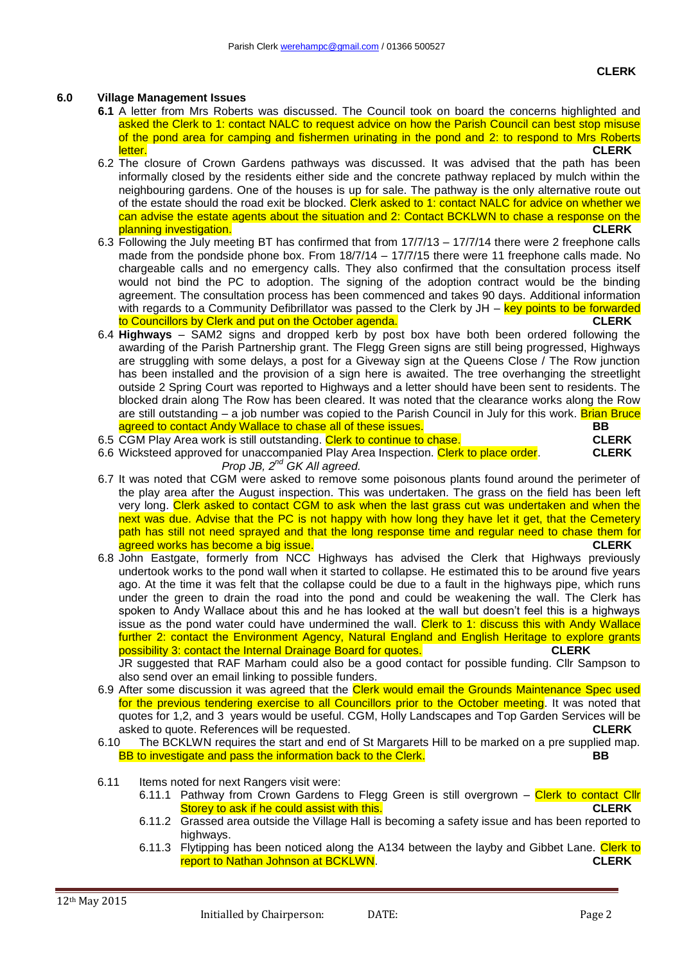### **6.0 Village Management Issues**

- **6.1** A letter from Mrs Roberts was discussed. The Council took on board the concerns highlighted and asked the Clerk to 1: contact NALC to request advice on how the Parish Council can best stop misuse of the pond area for camping and fishermen urinating in the pond and 2: to respond to Mrs Roberts letter. **CLERK**
- 6.2 The closure of Crown Gardens pathways was discussed. It was advised that the path has been informally closed by the residents either side and the concrete pathway replaced by mulch within the neighbouring gardens. One of the houses is up for sale. The pathway is the only alternative route out of the estate should the road exit be blocked. Clerk asked to 1: contact NALC for advice on whether we can advise the estate agents about the situation and 2: Contact BCKLWN to chase a response on the planning investigation. **CLERK**
- 6.3 Following the July meeting BT has confirmed that from 17/7/13 17/7/14 there were 2 freephone calls made from the pondside phone box. From 18/7/14 – 17/7/15 there were 11 freephone calls made. No chargeable calls and no emergency calls. They also confirmed that the consultation process itself would not bind the PC to adoption. The signing of the adoption contract would be the binding agreement. The consultation process has been commenced and takes 90 days. Additional information with regards to a Community Defibrillator was passed to the Clerk by JH – key points to be forwarded to Councillors by Clerk and put on the October agenda. **CLERK**
- 6.4 **Highways** SAM2 signs and dropped kerb by post box have both been ordered following the awarding of the Parish Partnership grant. The Flegg Green signs are still being progressed, Highways are struggling with some delays, a post for a Giveway sign at the Queens Close / The Row junction has been installed and the provision of a sign here is awaited. The tree overhanging the streetlight outside 2 Spring Court was reported to Highways and a letter should have been sent to residents. The blocked drain along The Row has been cleared. It was noted that the clearance works along the Row are still outstanding – a job number was copied to the Parish Council in July for this work. Brian Bruce agreed to contact Andy Wallace to chase all of these issues. **BB**
- 6.5 CGM Play Area work is still outstanding. Clerk to continue to chase. **CLERK**
- 6.6 Wicksteed approved for unaccompanied Play Area Inspection. Clerk to place order. **CLERK** *Prop JB, 2nd GK All agreed.*
- 6.7 It was noted that CGM were asked to remove some poisonous plants found around the perimeter of the play area after the August inspection. This was undertaken. The grass on the field has been left very long. Clerk asked to contact CGM to ask when the last grass cut was undertaken and when the next was due. Advise that the PC is not happy with how long they have let it get, that the Cemetery path has still not need sprayed and that the long response time and regular need to chase them for agreed works has become a big issue. **CLERK**
- 6.8 John Eastgate, formerly from NCC Highways has advised the Clerk that Highways previously undertook works to the pond wall when it started to collapse. He estimated this to be around five years ago. At the time it was felt that the collapse could be due to a fault in the highways pipe, which runs under the green to drain the road into the pond and could be weakening the wall. The Clerk has spoken to Andy Wallace about this and he has looked at the wall but doesn't feel this is a highways issue as the pond water could have undermined the wall. Clerk to 1: discuss this with Andy Wallace further 2: contact the Environment Agency, Natural England and English Heritage to explore grants possibility 3: contact the Internal Drainage Board for quotes. **CLERK**

JR suggested that RAF Marham could also be a good contact for possible funding. Cllr Sampson to also send over an email linking to possible funders.

- 6.9 After some discussion it was agreed that the Clerk would email the Grounds Maintenance Spec used for the previous tendering exercise to all Councillors prior to the October meeting. It was noted that quotes for 1,2, and 3 years would be useful. CGM, Holly Landscapes and Top Garden Services will be asked to quote. References will be requested. **CLERK**
- 6.10 The BCKLWN requires the start and end of St Margarets Hill to be marked on a pre supplied map. BB to investigate and pass the information back to the Clerk. **BB**
- 6.11 Items noted for next Rangers visit were:
	- 6.11.1 Pathway from Crown Gardens to Flegg Green is still overgrown Clerk to contact Cllr Storey to ask if he could assist with this. **CLERK**
	- 6.11.2 Grassed area outside the Village Hall is becoming a safety issue and has been reported to highways.
	- 6.11.3 Flytipping has been noticed along the A134 between the layby and Gibbet Lane. Clerk to report to Nathan Johnson at BCKLWN. **CLERK**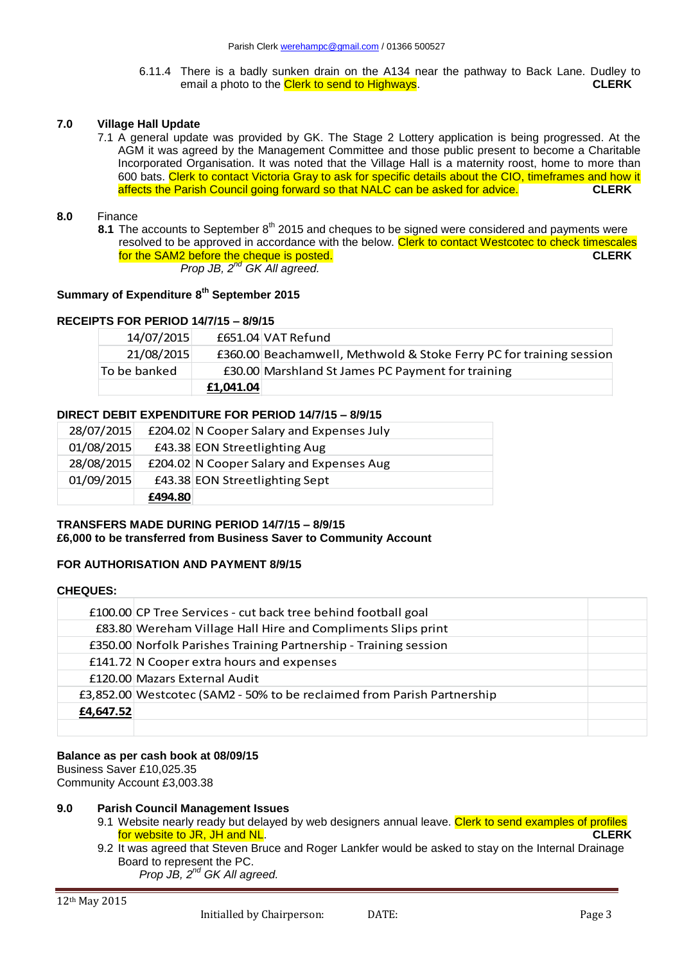6.11.4 There is a badly sunken drain on the A134 near the pathway to Back Lane. Dudley to email a photo to the Clerk to send to Highways email a photo to the **Clerk to send to Highways**.

## **7.0 Village Hall Update**

7.1 A general update was provided by GK. The Stage 2 Lottery application is being progressed. At the AGM it was agreed by the Management Committee and those public present to become a Charitable Incorporated Organisation. It was noted that the Village Hall is a maternity roost, home to more than 600 bats. Clerk to contact Victoria Gray to ask for specific details about the CIO, timeframes and how it affects the Parish Council going forward so that NALC can be asked for advice. **CLERK**

### **8.0** Finance

8.1 The accounts to September 8<sup>th</sup> 2015 and cheques to be signed were considered and payments were resolved to be approved in accordance with the below. Clerk to contact Westcotec to check timescales for the SAM2 before the cheque is posted. **CLERK** *Prop JB, 2nd GK All agreed.*

# **Summary of Expenditure 8th September 2015**

### **RECEIPTS FOR PERIOD 14/7/15 – 8/9/15**

| 14/07/2015   |           | £651.04 VAT Refund                                                  |
|--------------|-----------|---------------------------------------------------------------------|
| 21/08/2015   |           | £360.00 Beachamwell, Methwold & Stoke Ferry PC for training session |
| To be banked |           | £30.00 Marshland St James PC Payment for training                   |
|              | £1,041.04 |                                                                     |

### **DIRECT DEBIT EXPENDITURE FOR PERIOD 14/7/15 – 8/9/15**

|            | £494.80 |                                           |
|------------|---------|-------------------------------------------|
| 01/09/2015 |         | £43.38 EON Streetlighting Sept            |
| 28/08/2015 |         | £204.02 N Cooper Salary and Expenses Aug  |
| 01/08/2015 |         | £43.38 EON Streetlighting Aug             |
| 28/07/2015 |         | £204.02 N Cooper Salary and Expenses July |

## **TRANSFERS MADE DURING PERIOD 14/7/15 – 8/9/15 £6,000 to be transferred from Business Saver to Community Account**

## **FOR AUTHORISATION AND PAYMENT 8/9/15**

#### **CHEQUES:**

|           | £100.00 CP Tree Services - cut back tree behind football goal           |  |
|-----------|-------------------------------------------------------------------------|--|
|           | £83.80 Wereham Village Hall Hire and Compliments Slips print            |  |
|           | £350.00 Norfolk Parishes Training Partnership - Training session        |  |
|           | £141.72 N Cooper extra hours and expenses                               |  |
|           | £120.00 Mazars External Audit                                           |  |
|           | £3,852.00 Westcotec (SAM2 - 50% to be reclaimed from Parish Partnership |  |
| £4,647.52 |                                                                         |  |
|           |                                                                         |  |

#### **Balance as per cash book at 08/09/15**

Business Saver £10,025.35 Community Account £3,003.38

#### **9.0 Parish Council Management Issues**

- 9.1 Website nearly ready but delayed by web designers annual leave. Clerk to send examples of profiles for website to JR, JH and NL. **CLERK**
- 9.2 It was agreed that Steven Bruce and Roger Lankfer would be asked to stay on the Internal Drainage Board to represent the PC.

*Prop JB, 2nd GK All agreed.*